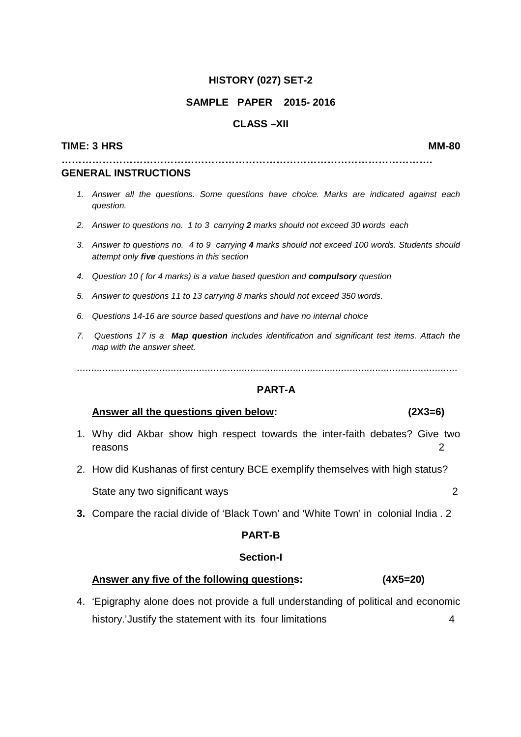### **HISTORY (027) SET-2**

### **SAMPLE PAPER 2015- 2016**

# **CLASS –XII**

#### **TIME: 3 HRS MM-80**

**……………………………………………………………………………………………….** 

#### **GENERAL INSTRUCTIONS**

- 1. Answer all the questions. Some questions have choice. Marks are indicated against each question.
- 2. Answer to questions no. 1 to 3 carrying **2** marks should not exceed 30 words each
- 3. Answer to questions no. 4 to 9 carrying **4** marks should not exceed 100 words. Students should attempt only **five** questions in this section
- 4. Question 10 ( for 4 marks) is a value based question and **compulsory** question
- 5. Answer to questions 11 to 13 carrying 8 marks should not exceed 350 words.
- 6. Questions 14-16 are source based questions and have no internal choice
- 7. Questions 17 is a **Map question** includes identification and significant test items. Attach the map with the answer sheet.

......................................................................................................................................

### **PART-A**

### **Answer all the questions given below: (2X3=6)**

- 1. Why did Akbar show high respect towards the inter-faith debates? Give two reasons 2
- 2. How did Kushanas of first century BCE exemplify themselves with high status?

State any two significant ways 2

**3.** Compare the racial divide of 'Black Town' and 'White Town' in colonial India . 2

### **PART-B**

### **Section-I**

# **Answer any five of the following questions: (4X5=20)**

4. 'Epigraphy alone does not provide a full understanding of political and economic history.'Justify the statement with its four limitations 4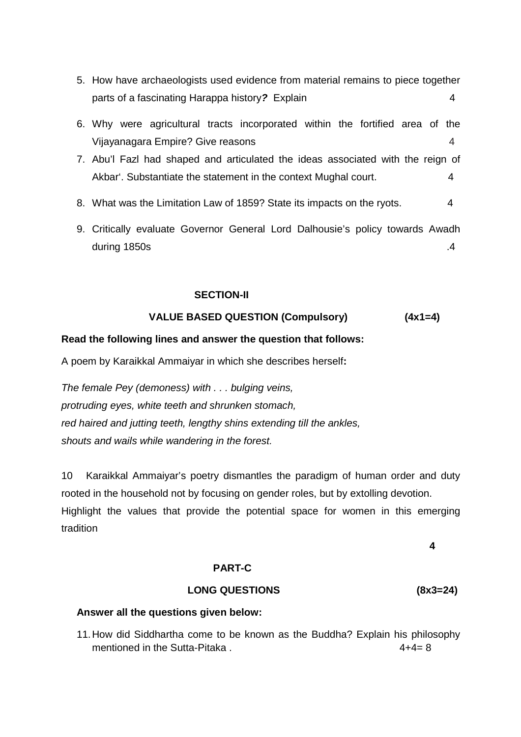- 5. How have archaeologists used evidence from material remains to piece together parts of a fascinating Harappa history**?** Explain 4
- 6. Why were agricultural tracts incorporated within the fortified area of the Vijayanagara Empire? Give reasons 4
- 7. Abu'l Fazl had shaped and articulated the ideas associated with the reign of Akbar'. Substantiate the statement in the context Mughal court. 4
- 8. What was the Limitation Law of 1859? State its impacts on the ryots. 4
- 9. Critically evaluate Governor General Lord Dalhousie's policy towards Awadh during 1850s .4

### **SECTION-II**

### **VALUE BASED QUESTION (Compulsory) (4x1=4)**

### **Read the following lines and answer the question that follows:**

A poem by Karaikkal Ammaiyar in which she describes herself**:** 

The female Pey (demoness) with . . . bulging veins, protruding eyes, white teeth and shrunken stomach, red haired and jutting teeth, lengthy shins extending till the ankles, shouts and wails while wandering in the forest.

10 Karaikkal Ammaiyar's poetry dismantles the paradigm of human order and duty rooted in the household not by focusing on gender roles, but by extolling devotion. Highlight the values that provide the potential space for women in this emerging tradition

**4** 

#### **PART-C**

#### **LONG QUESTIONS (8x3=24)**

#### **Answer all the questions given below:**

11. How did Siddhartha come to be known as the Buddha? Explain his philosophy mentioned in the Sutta-Pitaka  $4+4=8$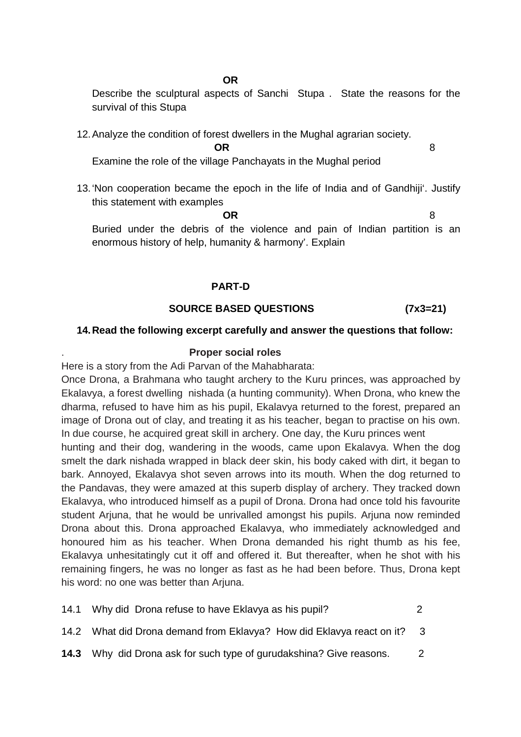### **OR OR**

Describe the sculptural aspects of Sanchi Stupa . State the reasons for the survival of this Stupa

12. Analyze the condition of forest dwellers in the Mughal agrarian society.

**OR** 8

Examine the role of the village Panchayats in the Mughal period

13. 'Non cooperation became the epoch in the life of India and of Gandhiji'. Justify this statement with examples

**OR** 8 Buried under the debris of the violence and pain of Indian partition is an enormous history of help, humanity & harmony'. Explain

# **PART-D**

# **SOURCE BASED QUESTIONS (7x3=21)**

# **14. Read the following excerpt carefully and answer the questions that follow:**

# . **Proper social roles**

Here is a story from the Adi Parvan of the Mahabharata:

Once Drona, a Brahmana who taught archery to the Kuru princes, was approached by Ekalavya, a forest dwelling nishada (a hunting community). When Drona, who knew the dharma, refused to have him as his pupil, Ekalavya returned to the forest, prepared an image of Drona out of clay, and treating it as his teacher, began to practise on his own. In due course, he acquired great skill in archery. One day, the Kuru princes went

hunting and their dog, wandering in the woods, came upon Ekalavya. When the dog smelt the dark nishada wrapped in black deer skin, his body caked with dirt, it began to bark. Annoyed, Ekalavya shot seven arrows into its mouth. When the dog returned to the Pandavas, they were amazed at this superb display of archery. They tracked down Ekalavya, who introduced himself as a pupil of Drona. Drona had once told his favourite student Arjuna, that he would be unrivalled amongst his pupils. Arjuna now reminded Drona about this. Drona approached Ekalavya, who immediately acknowledged and honoured him as his teacher. When Drona demanded his right thumb as his fee, Ekalavya unhesitatingly cut it off and offered it. But thereafter, when he shot with his remaining fingers, he was no longer as fast as he had been before. Thus, Drona kept his word: no one was better than Arjuna.

| 14.1 Why did Drona refuse to have Eklavya as his pupil?                    |     |
|----------------------------------------------------------------------------|-----|
| 14.2 What did Drona demand from Eklavya? How did Eklavya react on it?      | - 3 |
| <b>14.3</b> Why did Drona ask for such type of gurudakshina? Give reasons. |     |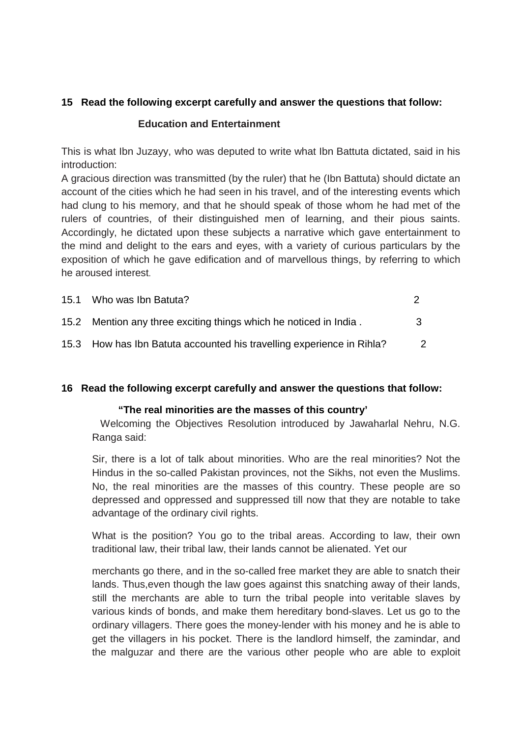# **15 Read the following excerpt carefully and answer the questions that follow:**

### **Education and Entertainment**

This is what Ibn Juzayy, who was deputed to write what Ibn Battuta dictated, said in his introduction:

A gracious direction was transmitted (by the ruler) that he (Ibn Battuta) should dictate an account of the cities which he had seen in his travel, and of the interesting events which had clung to his memory, and that he should speak of those whom he had met of the rulers of countries, of their distinguished men of learning, and their pious saints. Accordingly, he dictated upon these subjects a narrative which gave entertainment to the mind and delight to the ears and eyes, with a variety of curious particulars by the exposition of which he gave edification and of marvellous things, by referring to which he aroused interest.

| 15.1 Who was Ibn Batuta?                                              |     |
|-----------------------------------------------------------------------|-----|
| 15.2 Mention any three exciting things which he noticed in India.     | ્રવ |
| 15.3 How has Ibn Batuta accounted his travelling experience in Rihla? |     |

# **16 Read the following excerpt carefully and answer the questions that follow:**

# **"The real minorities are the masses of this country'**

 Welcoming the Objectives Resolution introduced by Jawaharlal Nehru, N.G. Ranga said:

Sir, there is a lot of talk about minorities. Who are the real minorities? Not the Hindus in the so-called Pakistan provinces, not the Sikhs, not even the Muslims. No, the real minorities are the masses of this country. These people are so depressed and oppressed and suppressed till now that they are notable to take advantage of the ordinary civil rights.

What is the position? You go to the tribal areas. According to law, their own traditional law, their tribal law, their lands cannot be alienated. Yet our

merchants go there, and in the so-called free market they are able to snatch their lands. Thus,even though the law goes against this snatching away of their lands, still the merchants are able to turn the tribal people into veritable slaves by various kinds of bonds, and make them hereditary bond-slaves. Let us go to the ordinary villagers. There goes the money-lender with his money and he is able to get the villagers in his pocket. There is the landlord himself, the zamindar, and the malguzar and there are the various other people who are able to exploit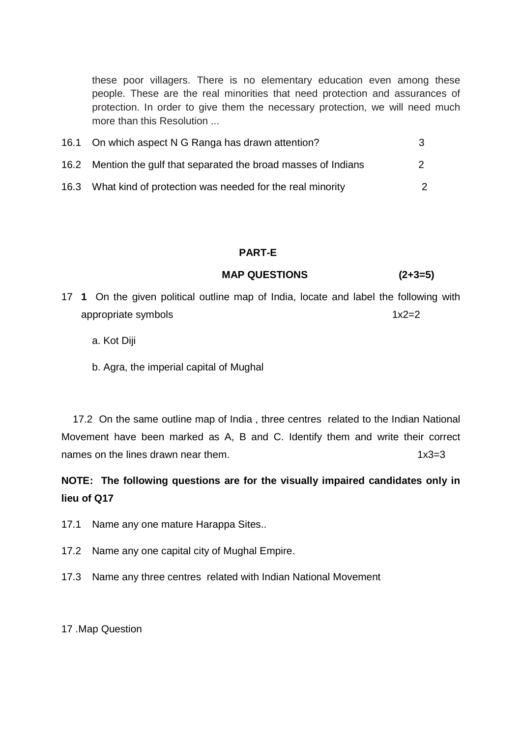these poor villagers. There is no elementary education even among these people. These are the real minorities that need protection and assurances of protection. In order to give them the necessary protection, we will need much more than this Resolution ...

| 16.1 On which aspect N G Ranga has drawn attention?              | 3 |
|------------------------------------------------------------------|---|
| 16.2 Mention the gulf that separated the broad masses of Indians |   |
| 16.3 What kind of protection was needed for the real minority    |   |

# **PART-E**

### **MAP QUESTIONS (2+3=5)**

- 17 **1** On the given political outline map of India, locate and label the following with appropriate symbols 1x2=2
	- a. Kot Diji
	- b. Agra, the imperial capital of Mughal

 17.2 On the same outline map of India , three centres related to the Indian National Movement have been marked as A, B and C. Identify them and write their correct names on the lines drawn near them.  $1 \times 3 = 3$ 

**NOTE: The following questions are for the visually impaired candidates only in lieu of Q17** 

- 17.1 Name any one mature Harappa Sites..
- 17.2 Name any one capital city of Mughal Empire.
- 17.3 Name any three centres related with Indian National Movement

17 .Map Question